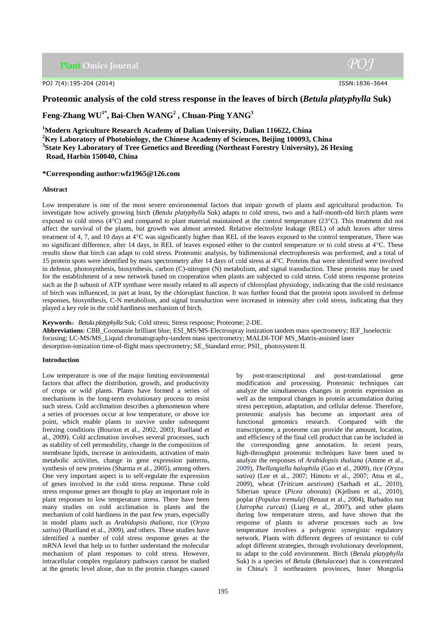**Plant Omics Journal** 

POJ 7(4):195-204 (2014) ISSN:1836-3644

# **Proteomic analysis of the cold stress response in the leaves of birch (***Betula platyphylla* **Suk)**

**Feng-Zhang WU1\* , Bai-Chen WANG<sup>2</sup> , Chuan-Ping YANG<sup>3</sup>**

**<sup>1</sup>Modern Agriculture Research Academy of Dalian University, Dalian 116622, China <sup>2</sup>Key Laboratory of Photobiology, the Chinese Academy of Sciences, Beijing 100093, China**

**3 State Key Laboratory of Tree Genetics and Breeding (Northeast Forestry University), 26 Hexing**

**Road, Harbin 150040, China**

## **\*Corresponding author:wfz1965@126.com**

## **Abstract**

Low temperature is one of the most severe environmental factors that impair growth of plants and agricultural production. To investigate how actively growing birch (*Betula platyphyll*a Suk) adapts to cold stress, two and a half-month-old birch plants were exposed to cold stress ( $4^{\circ}$ C) and compared to plant material maintained at the control temperature ( $23^{\circ}$ C). This treatment did not affect the survival of the plants, but growth was almost arrested. Relative electrolyte leakage (REL) of adult leaves after stress treatment of 4, 7, and 10 days at 4C was significantly higher than REL of the leaves exposed to the control temperature, There was no significant difference, after 14 days, in REL of leaves exposed either to the control temperature or to cold stress at 4°C. These results show that birch can adapt to cold stress. Proteomic analysis, by bidimensional electrophoresis was performed, and a total of 15 protein spots were identified by mass spectrometry after 14 days of cold stress at 4C. Proteins that were identified were involved in defense, photosynthesis, biosynthesis, carbon (C)-nitrogen (N) metabolism, and signal transduction. These proteins may be used for the establishment of a new network based on cooperation when plants are subjected to cold stress. Cold stress response proteins such as the  $\beta$  subunit of ATP synthase were mostly related to all aspects of chloroplast physiology, indicating that the cold resistance of birch was influenced, in part at least, by the chloroplast function. It was further found that the protein spots involved in defense responses, biosynthesis, C-N metabolism, and signal transduction were increased in intensity after cold stress, indicating that they played a key role in the cold hardiness mechanism of birch.

**Keywords**:*Betula platyphylla* Suk; Cold stress; Stress response; Proteome; 2-DE.

**Abbreviations**: CBB\_Coomassie brilliant blue; ESI\_MS/MS-Electrospray ionization tandem mass spectrometry; IEF\_Isoelectric focusing; LC-MS/MS\_Liquid chromatography-tandem mass spectrometry; MALDI-TOF MS\_Matrix-assisted laser desorption-ionization time-of-flight mass spectrometry; SE\_Standard error; PSII\_ photosystem II.

## **Introduction**

Low temperature is one of the major limiting environmental factors that affect the distribution, growth, and productivity of crops or wild plants. Plants have formed a series of mechanisms in the long-term evolutionary process to resist such stress. Cold acclimation describes a phenomenon where a series of processes occur at low temperature, or above ice point, which enable plants to survive under subsequent freezing conditions (Bourion et al., 2002, 2003; Ruelland et al., 2009). Cold acclimation involves several processes, such as stability of cell permeability, change in the composition of membrane lipids, increase in antioxidants, activation of main metabolic activities, change in gene expression patterns, synthesis of new proteins (Sharma et al., 2005), among others. One very important aspect is to self-regulate the expression of genes involved in the cold stress response. These cold stress response genes are thought to play an important role in plant responses to low temperature stress. There have been many studies on cold acclimation in plants and the mechanism of cold hardiness in the past few years, especially in model plants such as *Arabidopsis thaliana*, rice (*Oryza sativa*) (Ruelland et al., 2009), and others. These studies have identified a number of cold stress response genes at the mRNA level that help us to further understand the molecular mechanism of plant responses to cold stress. However, intracellular complex regulatory pathways cannot be studied at the genetic level alone, due to the protein changes caused

by post-transcriptional and post-translational gene modification and processing. Proteomic techniques can analyze the simultaneous changes in protein expression as well as the temporal changes in protein accumulation during stress perception, adaptation, and cellular defense. Therefore, proteomic analysis has become an important area of functional genomics research. Compared with the transcriptome, a proteome can provide the amount, location, and efficiency of the final cell product that can be included in the corresponding gene annotation. In recent years, high-throughput proteomic techniques have been used to analyze the responses of *Arabidopsis thaliana* (Amme et al., 2009), *Thellungiella halophila* (Gao et al., 2009), rice (*Oryza sativa)* (Lee et al., 2007; Himoto et al., 2007; Atsu et al., 2009), wheat (*Triticum aestivum*) (Sarhadi et al., 2010), Siberian spruce (*Picea obovata*) (Kjellsen et al., 2010), poplar (*Populus tremula*) [\(Renaut e](http://univadis.medlive.com.cn/pubmed/pubmed_search.do?keyword_term=Renaut%20J%5bAuthor%5d)t al., 2004), Barbados nut (*Jatropha curcas*) (Liang et al., 2007), and other plants during low temperature stress, and have shown that the response of plants to adverse processes such as low temperature involves a polygenic synergistic regulatory network. Plants with different degrees of resistance to cold adopt different strategies, through evolutionary development, to adapt to the cold environment. Birch (*Betula platyphylla* Suk) is a species of *Betula* (*Betulaceae*) that is concentrated in China's 3 northeastern provinces, Inner Mongolia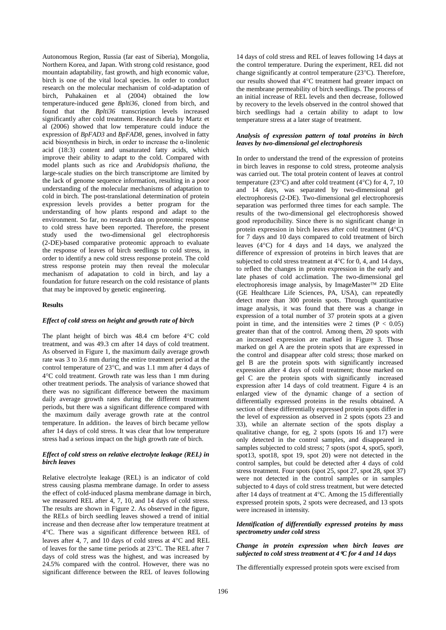Autonomous Region, Russia (far east of Siberia), Mongolia, Northern Korea, and Japan. With strong cold resistance, good mountain adaptability, fast growth, and high economic value, birch is one of the vital local species. In order to conduct research on the molecular mechanism of cold-adaptation of birch, Puhakainen et al (2004) obtained the low temperature-induced gene *Bplti36*, cloned from birch, and found that the *Bplti36* transcription levels increased significantly after cold treatment. Research data by Martz et al (2006) showed that low temperature could induce the expression of *BpFAD3* and *BpFAD8*, genes, involved in fatty acid biosynthesis in birch, in order to increase the  $\alpha$ -linolenic acid (18:3) content and unsaturated fatty acids, which improve their ability to adapt to the cold. Compared with model plants such as rice and *Arabidopsis thaliana*, the large-scale studies on the birch transcriptome are limited by the lack of genome sequence information, resulting in a poor understanding of the molecular mechanisms of adaptation to cold in birch*.* The post-translational determination of protein expression levels provides a better program for the understanding of how plants respond and adapt to the environment. So far, no research data on proteomic response to cold stress have been reported. Therefore, the present study used the two-dimensional gel electrophoresis (2-DE)-based comparative proteomic approach to evaluate the response of leaves of birch seedlings to cold stress, in order to identify a new cold stress response protein. The cold stress response protein may then reveal the molecular mechanism of adapatation to cold in birch, and lay a foundation for future research on the cold resistance of plants that may be improved by genetic engineering.

## **Results**

#### *Effect of cold stress on height and growth rate of birch*

The plant height of birch was  $48.4$  cm before  $4^{\circ}$ C cold treatment, and was 49.3 cm after 14 days of cold treatment. As observed in Figure 1, the maximum daily average growth rate was 3 to 3.6 mm during the entire treatment period at the control temperature of  $23^{\circ}$ C, and was 1.1 mm after 4 days of 4C cold treatment. Growth rate was less than 1 mm during other treatment periods. The analysis of variance showed that there was no significant difference between the maximum daily average growth rates during the different treatment periods, but there was a significant difference compared with the maximum daily average growth rate at the control temperature. In addition, the leaves of birch became yellow after 14 days of cold stress. It was clear that low temperature stress had a serious impact on the high growth rate of birch.

### *Effect of cold stress on relative electrolyte leakage (REL) in birch leaves*

Relative electrolyte leakage (REL) is an indicator of cold stress causing plasma membrane damage. In order to assess the effect of cold-induced plasma membrane damage in birch, we measured REL after 4, 7, 10, and 14 days of cold stress. The results are shown in Figure 2. As observed in the figure, the RELs of birch seedling leaves showed a trend of initial increase and then decrease after low temperature treatment at 4C. There was a significant difference between REL of leaves after 4, 7, and 10 days of cold stress at  $4^{\circ}$ C and REL of leaves for the same time periods at  $23^{\circ}$ C. The REL after 7 days of cold stress was the highest, and was increased by 24.5% compared with the control. However, there was no significant difference between the REL of leaves following

14 days of cold stress and REL of leaves following 14 days at the control temperature. During the experiment, REL did not change significantly at control temperature  $(23^{\circ}C)$ . Therefore, our results showed that 4°C treatment had greater impact on the membrane permeability of birch seedlings. The process of an initial increase of REL levels and then decrease, followed by recovery to the levels observed in the control showed that birch seedlings had a certain ability to adapt to low temperature stress at a later stage of treatment.

### *Analysis of expression pattern of total proteins in birch leaves by two-dimensional gel electrophoresis*

In order to understand the trend of the expression of proteins in birch leaves in response to cold stress, proteome analysis was carried out. The total protein content of leaves at control temperature (23 $^{\circ}$ C) and after cold treatment (4 $^{\circ}$ C) for 4, 7, 10 and 14 days, was separated by two-dimensional gel electrophoresis (2-DE). Two-dimensional gel electrophoresis separation was performed three times for each sample. The results of the two-dimensional gel electrophoresis showed good reproducibility. Since there is no significant change in protein expression in birch leaves after cold treatment  $(4^{\circ}C)$ for 7 days and 10 days compared to cold treatment of birch leaves  $(4^{\circ}C)$  for 4 days and 14 days, we analyzed the difference of expression of proteins in birch leaves that are subjected to cold stress treatment at  $4^{\circ}$ C for 0, 4, and 14 days, to reflect the changes in protein expression in the early and late phases of cold acclimation. The two-dimensional gel electrophoresis image analysis, by ImageMaster<sup>™</sup> 2D Elite (GE Healthcare Life Sciences, PA, USA), can repeatedly detect more than 300 protein spots. Through quantitative image analysis, it was found that there was a change in expression of a total number of 37 protein spots at a given point in time, and the intensities were 2 times  $(P < 0.05)$ greater than that of the control. Among them, 20 spots with an increased expression are marked in Figure 3. Those marked on gel A are the protein spots that are expressed in the control and disappear after cold stress; those marked on gel B are the protein spots with significantly increased expression after 4 days of cold treatment; those marked on gel C are the protein spots with significantly increased expression after 14 days of cold treatment. Figure 4 is an enlarged view of the dynamic change of a section of differentially expressed proteins in the results obtained. A section of these differentially expressed protein spots differ in the level of expression as observed in 2 spots (spots 23 and 33), while an alternate section of the spots display a qualitative change, for eg, 2 spots (spots 16 and 17) were only detected in the control samples, and disappeared in samples subjected to cold stress; 7 spots (spot 4, spot5, spot9, spot13, spot18, spot 19, spot 20) were not detected in the control samples, but could be detected after 4 days of cold stress treatment. Four spots (spot 25, spot 27, spot 28, spot 37) were not detected in the control samples or in samples subjected to 4 days of cold stress treatment, but were detected after 14 days of treatment at  $4^{\circ}$ C. Among the 15 differentially expressed protein spots, 2 spots were decreased, and 13 spots were increased in intensity.

#### *Identification of differentially expressed proteins by mass spectrometry under cold stress*

## *Change in protein expression when birch leaves are subjected to cold stress treatment at 4C for 4 and 14 days*

The differentially expressed protein spots were excised from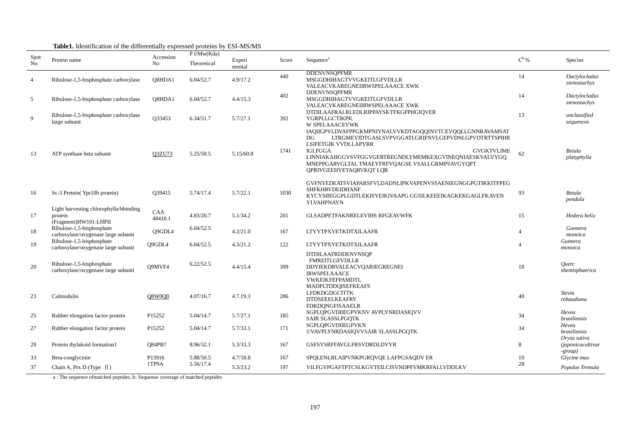|                  |                                                                            |                 | $\mu$ , recommended of the employment $\mu$ expressed proteins $\sigma$ , Eq. Fig. Fig.<br>P I/Mw(Kda) |                  |       |                                                                                                                                                                                                                                                                                                                              |                |                                                        |
|------------------|----------------------------------------------------------------------------|-----------------|--------------------------------------------------------------------------------------------------------|------------------|-------|------------------------------------------------------------------------------------------------------------------------------------------------------------------------------------------------------------------------------------------------------------------------------------------------------------------------------|----------------|--------------------------------------------------------|
| Spot<br>$\rm No$ | Pretein name                                                               | Accession<br>No | Theoretical                                                                                            | Experi<br>mental | Score | Sequence <sup>a</sup>                                                                                                                                                                                                                                                                                                        | $C^{\rm b}$ %  | <b>Species</b>                                         |
| $\overline{4}$   | Ribulose-1,5-bisphosphate carboxylase                                      | O8HDA1          | 6.04/52.7                                                                                              | 4.9/17.2         | 440   | <b>DDENVNSOPFMR</b><br>MSGGDHIHAGTVVGKEITLGFVDLLR<br>VALEACVKAREGNEIIRWSPELAAACE XWK                                                                                                                                                                                                                                         | 14             | Dactylocladus<br>stenostachys                          |
| 5                | Ribulose-1,5-bisphosphate carboxylase                                      | O8HDA1          | 6.04/52.7                                                                                              | 4.4/15.3         | 402   | <b>DDENVNSQPFMR</b><br>MSGGDHIHAGTVVGKEITLGFVDLLR<br>VALEACVKAREGNEIIRWSPELAAACE XWK                                                                                                                                                                                                                                         | 14             | Dactylocladus<br>stenostachys                          |
| 9                | Ribulose-1,5-bisphosphate carboxylase<br>large subunit                     | Q33453          | 6.34/51.7                                                                                              | 5.7/27.1         | 392   | DTDILAAFRALRLEDLRIPPAYSKTFKGPPHGIQVER<br>YGRPLLGCTIKPK<br>W SPELAAACEVWK                                                                                                                                                                                                                                                     | 13             | unclassified<br>sequences                              |
| 13               | ATP synthase beta subunit                                                  | Q3ZU73          | 5.25/50.5                                                                                              | 5.15/60.8        | 1741  | IAQIIGPVLDVAFPPGKMPNIYNALVVKDTAGQQINVTCEVQQLLGNNRAVAMSAT<br>LTRGMEVIDTGASLSVPVGGATLGRIFNVLGEPVDNLGPVDTRTTSPIHR<br>DG.<br>LSIFETGIK VVDLLAPYRR<br><b>IGLFGGA</b><br><b>GVGKTVLIME</b><br>LINNIAKAHGGVSVFGGVGERTREGNDLYMEMKEXGVINEQNIAESKVALVYGQ<br>MNEPPGARVGLTAL TMAEYFRFVQAGSE VSALLGRMPSAVGYQPT<br>QPRIVGEEHYETAQRVKQT LQR | 62             | Betula<br>platyphylla                                  |
| 16               | Sc-3 Pretein(Ypr10b protein)                                               | Q39415          | 5.74/17.4                                                                                              | 5.7/22.1         | 1030  | GVFNYEDEATSVIAPARSFVLDADNLIPKVAPENVSSAENIEGNGGPGTIKKITFPEG<br><b>SHFKHRVDEIDHANF</b><br>KYCYSIIEGGPLGDTLEKISYEIKIVAAPG GGSILKEEEIKAGKEKGAGLFKAVEN<br>YLVAHPNAYN                                                                                                                                                              | 93             | Betula<br>pendula                                      |
| 17               | Light harvesting chlorophylla/bbinding<br>protein<br>(Fragment)HW101-LHPII | CAA<br>48410.1  | 4.83/20.7                                                                                              | 5.1/34.2         | 201   | <b>GLSADPETFAKNRELEVIHS RFGEAVWFK</b>                                                                                                                                                                                                                                                                                        | 15             | Hedera helix                                           |
| 18               | Ribulose-1,5-bisphosphate<br>carboxylase/oxygenase large subunit           | Q9GDL4          | 6.04/52.5                                                                                              | 4.2/21.0         | 167   | <b>LTYYTPXYETKDTXILAAFR</b>                                                                                                                                                                                                                                                                                                  | $\overline{4}$ | Gunnera<br>monoica                                     |
| 19               | Ribulose-1,5-bisphosphate<br>carboxylase/oxygenase large subunit           | O9GDL4          | 6.04/52.5                                                                                              | 4.3/21.2         | 122   | <b>LTYYTPXYETKDTXILAAFR</b>                                                                                                                                                                                                                                                                                                  | $\Delta$       | Gunnera<br>monoica                                     |
| 20               | Ribulose-1,5-bisphosphate<br>carboxylase/oxygenase large subunit           | O9MVF4          | 6.22/52.5                                                                                              | 4.4/15.4         | 399   | <b>DTDILAAFRDDENVNSOP</b><br><b>FMREITLGFVDLLR</b><br>DDYIEKDRVALEACVQARIEGREGNEI<br><b>IRWSPELAAACE</b><br>VWKEIKFEFPAMDTL                                                                                                                                                                                                  | 18             | Querc<br>shemisphaerica                                |
| 23               | Calmodulin                                                                 | Q8W0Q0          | 4.07/16.7                                                                                              | 4.7.19.3         | 286   | MADPLTDDQISEFKEAFS<br><b>LFDKDGDGCITTK</b><br><b>DTDSEEELKEAFRV</b><br><b>FDKDQNGFISAAELR</b>                                                                                                                                                                                                                                | 40             | <b>Stevia</b><br>rebaudiana                            |
| 25               | Rubber elongation factor protein                                           | P15252          | 5.04/14.7                                                                                              | 5.7/27.1         | 185   | SGPLQPGVDIIEGPVKNV AVPLYNRDASIQVV<br>SAIR SLASSLPGQTK                                                                                                                                                                                                                                                                        | 34             | Hevea<br>brasiliensis                                  |
| 27               | Rubber elongation factor protein                                           | P15252          | 5.04/14.7                                                                                              | 5.7/33.1         | 171   | SGPLQPGVDIIEGPVKN<br>©VAVPLYNRDASIQVVSAIR SLASSLPGQTK                                                                                                                                                                                                                                                                        | 34             | Hevea<br><i>brasiliensis</i>                           |
| 28               | Protein thylakoid formation1                                               | <b>O84PB7</b>   | 8.96/32.1                                                                                              | 5.3/33.3         | 167   | <b>GSFSYSRFFAVGLFRSVDRDLDVYR</b>                                                                                                                                                                                                                                                                                             | 8              | Oryza sativa<br><i>(japonicacultivar)</i><br>$-group)$ |
| 33               | Beta-conglycinin                                                           | P13916          | 5.88/50.5                                                                                              | 4.7/18.8         | 167   | SPQLENLRLAIPVNKPGRQVQE LAFPGSAQDV ER                                                                                                                                                                                                                                                                                         | 10             | Glycine max                                            |
| 37               | Chain A, Prx D (Type $\text{II}$ )                                         | 1TP9A           | 5.56/17.4                                                                                              | 5.3/23.2         | 197   | VILFGVPGAFTPTCSLKGVTEILCISVNDPFVMKRFALLVDDLKV                                                                                                                                                                                                                                                                                | 28             | Populus Tremula                                        |

# **Table1.** Identification of the differentially expressed proteins by ESI-MS/MS

a : The sequence ofmatched peptides.;b: Sequenoe coverage of matched peptides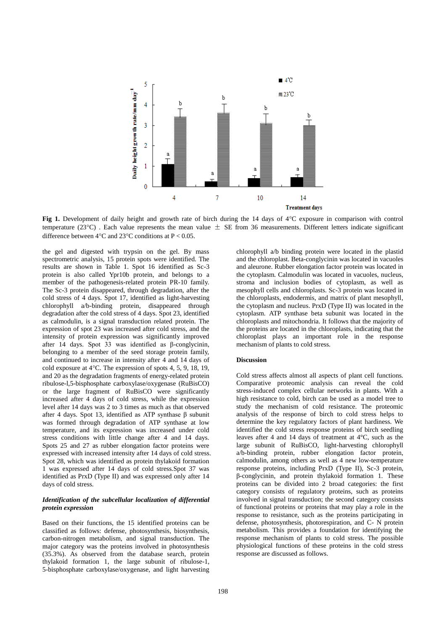

**Fig 1.** Development of daily height and growth rate of birch during the 14 days of 4°C exposure in comparison with control temperature (23 $^{\circ}$ C). Each value represents the mean value  $\pm$  SE from 36 measurements. Different letters indicate significant difference between  $4^{\circ}$ C and  $23^{\circ}$ C conditions at P < 0.05.

the gel and digested with trypsin on the gel. By mass spectrometric analysis, 15 protein spots were identified. The results are shown in Table 1. Spot 16 identified as Sc-3 protein is also called Ypr10b protein, and belongs to a member of the pathogenesis-related protein PR-10 family. The Sc-3 protein disappeared, through degradation, after the cold stress of 4 days. Spot 17, identified as light-harvesting chlorophyll a/b-binding protein, disappeared through degradation after the cold stress of 4 days. Spot 23, identified as calmodulin, is a signal transduction related protein. The expression of spot 23 was increased after cold stress, and the intensity of protein expression was significantly improved after 14 days. Spot 33 was identified as β-conglycinin, belonging to a member of the seed storage protein family, and continued to increase in intensity after 4 and 14 days of cold exposure at  $4^{\circ}$ C. The expression of spots 4, 5, 9, 18, 19, and 20 as the degradation fragments of energy-related protein ribulose-l,5-bisphosphate carboxylase/oxygenase (RuBisCO) or the large fragment of RuBisCO were significantly increased after 4 days of cold stress, while the expression level after 14 days was 2 to 3 times as much as that observed after 4 days. Spot 13, identified as ATP synthase β subunit was formed through degradation of ATP synthase at low temperature, and its expression was increased under cold stress conditions with little change after 4 and 14 days. Spots 25 and 27 as rubber elongation factor proteins were expressed with increased intensity after 14 days of cold stress. Spot 28, which was identified as protein thylakoid formation 1 was expressed after 14 days of cold stress.Spot 37 was identified as PrxD (Type II) and was expressed only after 14 days of cold stress.

## *Identification of the subcellular localization of differential protein expression*

Based on their functions, the 15 identified proteins can be classified as follows: defense, photosynthesis, biosynthesis, carbon-nitrogen metabolism, and signal transduction. The major category was the proteins involved in photosynthesis (35.3%). As observed from the database search, protein thylakoid formation 1, the large subunit of ribulose-1, 5-bisphosphate carboxylase/oxygenase, and light harvesting

chlorophyll a/b binding protein were located in the plastid and the chloroplast. Beta-conglycinin was located in vacuoles and aleurone. Rubber elongation factor protein was located in the cytoplasm. Calmodulin was located in vacuoles, nucleus, stroma and inclusion bodies of cytoplasm, as well as mesophyll cells and chloroplasts. Sc-3 protein was located in the chloroplasts, endodermis, and matrix of plant mesophyll, the cytoplasm and nucleus. PrxD (Type II) was located in the cytoplasm. ATP synthase beta subunit was located in the chloroplasts and mitochondria. It follows that the majority of the proteins are located in the chloroplasts, indicating that the chloroplast plays an important role in the response mechanism of plants to cold stress.

## **Discussion**

Cold stress affects almost all aspects of plant cell functions. Comparative proteomic analysis can reveal the cold stress-induced complex cellular networks in plants. With a high resistance to cold, birch can be used as a model tree to study the mechanism of cold resistance. The proteomic analysis of the response of birch to cold stress helps to determine the key regulatory factors of plant hardiness. We identified the cold stress response proteins of birch seedling leaves after 4 and 14 days of treatment at 4°C, such as the large subunit of RuBisCO, light-harvesting chlorophyll a/b-binding protein, rubber elongation factor protein, calmodulin, among others as well as 4 new low-temperature response proteins, including PrxD (Type II), Sc-3 protein, β-conglycinin, and protein thylakoid formation 1. These proteins can be divided into 2 broad categories: the first category consists of regulatory proteins, such as proteins involved in signal transduction; the second category consists of functional proteins or proteins that may play a role in the response to resistance, such as the proteins participating in defense, photosynthesis, photorespiration, and C- N protein metabolism. This provides a foundation for identifying the response mechanism of plants to cold stress. The possible physiological functions of these proteins in the cold stress response are discussed as follows.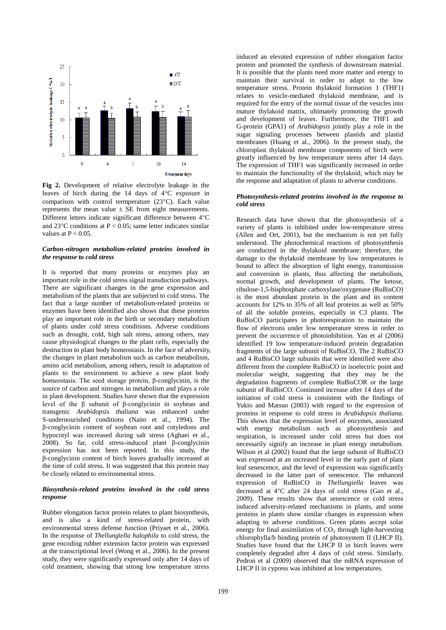

**Fig 2.** Development of relative electrolyte leakage in the leaves of birch during the 14 days of 4°C exposure in comparison with control termperature  $(23^{\circ}C)$ . Each value represents the mean value  $\pm$  SE from eight measurements. Different letters indicate significant difference between  $4^{\circ}$ C and 23 $^{\circ}$ C conditions at P < 0.05; same letter indicates similar values at  $P < 0.05$ .

## *Carbon-nitrogen metabolism-related proteins involved in the response to cold stress*

It is reported that many proteins or enzymes play an important role in the cold stress signal transduction pathways. There are significant changes in the gene expression and metabolism of the plants that are subjected to cold stress. The fact that a large number of metabolism-related proteins or enzymes have been identified also shows that these proteins play an important role in the birth or secondary metabolism of plants under cold stress conditions. Adverse conditions such as drought, cold, high salt stress, among others, may cause physiological changes to the plant cells, especially the destruction to plant body homeostasis. In the face of adversity, the changes in plant metabolism such as carbon metabolism, amino acid metabolism, among others, result in adaptation of plants to the environment to achieve a new plant body homeostasis. The seed storage protein, β-conglycinin, is the source of carbon and nitrogen in metabolism and plays a role in plant development. Studies have shown that the expression level of the β subunit of β-conglycinin in soybean and transgenic *Arabidopsis thaliana* was enhanced under S-undernourished conditions (Naito et al., 1994). The β-conglycinin content of soybean root and cotyledons and hypocotyl was increased during salt stress (Aghaei et al., 2008). So far, cold stress-induced plant β-conglycinin expression has not been reported. In this study, the β-conglycinin content of birch leaves gradually increased at the time of cold stress. It was suggested that this protein may be closely related to environmental stress.

### *Biosynthesis-related proteins involved in the cold stress response*

Rubber elongation factor protein relates to plant biosynthesis, and is also a kind of stress-related protein, with environmental stress defense function (Priyaet et al., 2006). In the response of *Thellungiella halophila* to cold stress, the gene encoding rubber extension factor protein was expressed at the transcriptional level (Wong et al., 2006). In the present study, they were significantly expressed only after 14 days of cold treatment, showing that strong low temperature stress

induced an elevated expression of rubber elongation factor protein and promoted the synthesis of downstream material. It is possible that the plants need more matter and energy to maintain their survival in order to adapt to the low temperature stress. Protein thylakoid formation 1 (THF1) relates to vesicle-mediated thylakoid membrane, and is required for the entry of the normal tissue of the vesicles into mature thylakoid matrix, ultimately promoting the growth and development of leaves. Furthermore, the THF1 and G-protein (GPA1) of *Arabidopsis* jointly play a role in the sugar signaling processes between plastids and plastid membranes (Huang et al., 2006). In the present study, the chloroplast thylakoid membrane components of birch were greatly influenced by low temperature stress after 14 days. The expression of THF1 was significantly increased in order to maintain the functionality of the thylakoid, which may be the response and adaptation of plants to adverse conditions.

#### *Photosynthesis-related proteins involved in the response to cold stress*

Research data have shown that the photosynthesis of a variety of plants is inhibited under low-temperature stress (Allen and Ort, 2001), but the mechanism is not yet fully understood. The photochemical reactions of photosynthesis are conducted in the thylakoid membrane; therefore, the damage to the thylakoid membrane by low temperatures is bound to affect the absorption of light energy, transmission and conversion in plants, thus affecting the metabolism, normal growth, and development of plants. The ketose, ribulose-1,5-bisphosphate carboxylase/oxygenase (RuBisCO) is the most abundant protein in the plant and its content accounts for 12% to 35% of all leaf proteins as well as 50% of all the soluble proteins, especially in C3 plants. The RuBisCO participates in photorespiration to maintain the flow of electrons under low temperature stress in order to prevent the occurrence of photoinhibition. Yan et al (2006) identified 19 low temperature-induced protein degradation fragments of the large subunit of RuBisCO. The 2 RuBisCO and 4 RuBisCO large subunits that were identified were also different from the complete RuBisCO in isoelectric point and molecular weight, suggesting that they may be the degradation fragments of complete RuBisCOR or the large subunit of RuBisCO. Continued increase after 14 days of the initiation of cold stress is consistent with the findings of Yukio and Matsuo (2003) with regard to the expression of proteins in response to cold stress in *Arabidopsis thaliana*. This shows that the expression level of enzymes, associated with energy metabolism such as photosynthesis and respiration, is increased under cold stress but does not necessarily signify an increase in plant energy metabolism. Wilson et al (2002) found that the large subunit of RuBisCO was expressed at an increased level in the early part of plant leaf senescence, and the level of expression was significantly decreased in the latter part of senescence. The enhanced expression of RuBisCO in *Thellungiella* leaves was decreased at  $4^{\circ}$ C after 24 days of cold stress (Gao et al., 2009). These results show that senescence or cold stress induced adversity-related mechanisms in plants, and some proteins in plants show similar changes in expression when adapting to adverse conditions. Green plants accept solar energy for final assimilation of  $CO<sub>2</sub>$  through light-harvesting chlorophylla/b binding protein of photosystem II (LHCP II). Studies have found that the LHCP II in birch leaves were completely degraded after 4 days of cold stress. Similarly, Pedron et al (2009) observed that the mRNA expression of LHCP II in cypress was inhibited at low temperatures.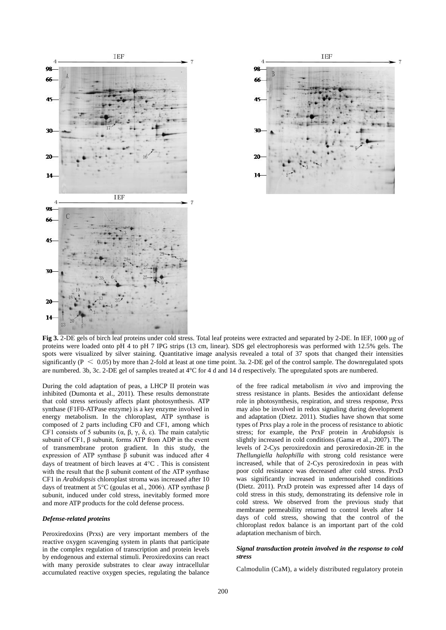



**Fig 3.** 2-DE gels of birch leaf proteins under cold stress. Total leaf proteins were extracted and separated by 2-DE. In IEF, 1000 μg of proteins were loaded onto pH 4 to pH 7 IPG strips (13 cm, linear). SDS gel electrophoresis was performed with 12.5% gels. The spots were visualized by silver staining. Quantitative image analysis revealed a total of 37 spots that changed their intensities significantly ( $P < 0.05$ ) by more than 2-fold at least at one time point. 3a. 2-DE gel of the control sample. The downregulated spots are numbered. 3b, 3c. 2-DE gel of samples treated at 4°C for 4 d and 14 d respectively. The upregulated spots are numbered.

During the cold adaptation of peas, a LHCP II protein was inhibited (Dumonta et al., 2011). These results demonstrate that cold stress seriously affects plant photosynthesis. ATP synthase (F1F0-ATPase enzyme) is a key enzyme involved in energy metabolism. In the chloroplast, ATP synthase is composed of 2 parts including CF0 and CF1, among which CF1 consists of 5 subunits  $(α, β, γ, δ, ε)$ . The main catalytic subunit of CF1, β subunit, forms ATP from ADP in the event of transmembrane proton gradient. In this study, the expression of ATP synthase β subunit was induced after 4 days of treatment of birch leaves at  $4^{\circ}$ C. This is consistent with the result that the  $\beta$  subunit content of the ATP synthase CF1 in *Arabidopsis* chloroplast stroma was increased after 10 days of treatment at 5°C (goulas et al., 2006). ATP synthase β subunit, induced under cold stress, inevitably formed more and more ATP products for the cold defense process.

### *Defense-related proteins*

Peroxiredoxins (Prxs) are very important members of the reactive oxygen scavenging system in plants that participate in the complex regulation of transcription and protein levels by endogenous and external stimuli. Peroxiredoxins can react with many peroxide substrates to clear away intracellular accumulated reactive oxygen species, regulating the balance

of the free radical metabolism *in vivo* and improving the stress resistance in plants. Besides the antioxidant defense role in photosynthesis, respiration, and stress response, Prxs may also be involved in redox signaling during development and adaptation (Dietz. 2011). Studies have shown that some types of Prxs play a role in the process of resistance to abiotic stress; for example, the PrxF protein in *Arabidopsis* is slightly increased in cold conditions (Gama et al., 2007). The levels of 2-Cys peroxiredoxin and peroxiredoxin-2E in the *Thellungiella halophilla* with strong cold resistance were increased, while that of 2-Cys peroxiredoxin in peas with poor cold resistance was decreased after cold stress. PrxD was significantly increased in undernourished conditions (Dietz. 2011). PrxD protein was expressed after 14 days of cold stress in this study, demonstrating its defensive role in cold stress. We observed from the previous study that membrane permeability returned to control levels after 14 days of cold stress, showing that the control of the chloroplast redox balance is an important part of the cold adaptation mechanism of birch.

#### *Signal transduction protein involved in the response to cold stress*

Calmodulin (CaM), a widely distributed regulatory protein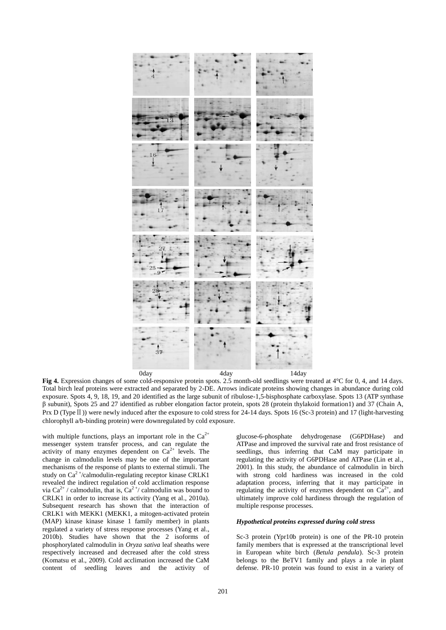

**Fig 4.** Expression changes of some cold-responsive protein spots. 2.5 month-old seedlings were treated at 4°C for 0, 4, and 14 days. Total birch leaf proteins were extracted and separated by 2-DE. Arrows indicate proteins showing changes in abundance during cold exposure. Spots 4, 9, 18, 19, and 20 identified as the large subunit of ribulose-1,5-bisphosphate carboxylase. Spots 13 (ATP synthase β subunit), Spots 25 and 27 identified as rubber elongation factor protein, spots 28 (protein thylakoid formation1) and 37 (Chain A, Prx D (Type II)) were newly induced after the exposure to cold stress for 24-14 days. Spots 16 (Sc-3 protein) and 17 (light-harvesting chlorophyll a/b-binding protein) were downregulated by cold exposure.

with multiple functions, plays an important role in the  $Ca^{2+}$ messenger system transfer process, and can regulate the activity of many enzymes dependent on  $Ca^{2+}$  levels. The change in calmodulin levels may be one of the important mechanisms of the response of plants to external stimuli. The study on Ca<sup>2+</sup>/calmodulin-regulating receptor kinase CRLK1 revealed the indirect regulation of cold acclimation response via Ca<sup>2+</sup> / calmodulin, that is, Ca<sup>2+</sup>/ calmodulin was bound to CRLK1 in order to increase its activity (Yang et al., 2010a). Subsequent research has shown that the interaction of CRLK1 with MEKK1 (MEKK1, a mitogen-activated protein (MAP) kinase kinase kinase 1 family member) in plants regulated a variety of stress response processes (Yang et al., 2010b). Studies have shown that the 2 isoforms of phosphorylated calmodulin in *Oryza sativa* leaf sheaths were respectively increased and decreased after the cold stress (Komatsu et al., 2009). Cold acclimation increased the CaM content of seedling leaves and the activity of

glucose-6-phosphate dehydrogenase (G6PDHase) and ATPase and improved the survival rate and frost resistance of seedlings, thus inferring that CaM may participate in regulating the activity of G6PDHase and ATPase (Lin et al., 2001). In this study, the abundance of calmodulin in birch with strong cold hardiness was increased in the cold adaptation process, inferring that it may participate in regulating the activity of enzymes dependent on  $Ca^{2+}$ , and ultimately improve cold hardiness through the regulation of multiple response processes.

## *Hypothetical proteins expressed during cold stress*

Sc-3 protein (Ypr10b protein) is one of the PR-10 protein family members that is expressed at the transcriptional level in European white birch (*Betula pendula*). Sc-3 protein belongs to the BeTV1 family and plays a role in plant defense. PR-10 protein was found to exist in a variety of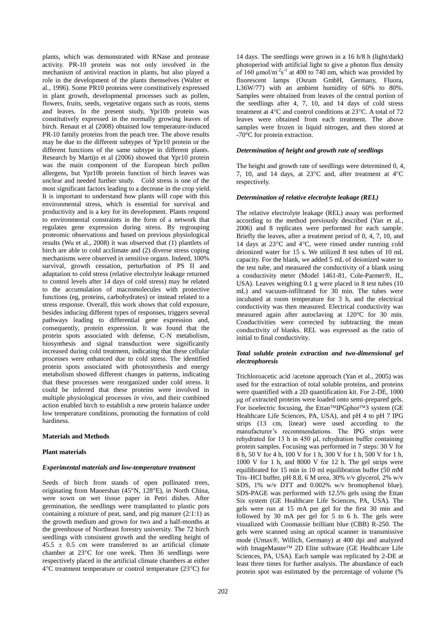plants, which was demonstrated with RNase and protease activity. PR-10 protein was not only involved in the mechanism of antiviral reaction in plants, but also played a role in the development of the plants themselves (Walter et al., 1996). Some PR10 proteins were constitutively expressed in plant growth, developmental processes such as pollen, flowers, fruits, seeds, vegetative organs such as roots, stems and leaves. In the present study, Ypr10b protein was constitutively expressed in the normally growing leaves of birch. Renaut et al (2008) obtained low temperature-induced PR-10 family proteins from the peach tree. The above results may be due to the different subtypes of Ypr10 protein or the different functions of the same subtype in different plants. Research by Martijn et al (2006) showed that Ypr10 protein was the main component of the European birch pollen allergens, but Ypr10b protein function of birch leaves was unclear and needed further study. Cold stress is one of the most significant factors leading to a decrease in the crop yield. It is important to understand how plants will cope with this environmental stress, which is essential for survival and productivity and is a key for its development. Plants respond to environmental constraints in the form of a network that regulates gene expression during stress. By regrouping proteomic observations and based on previous physiological results (Wu et al., 2008) it was observed that (1) plantlets of birch are able to cold acclimate and (2) diverse stress coping mechanisms were observed in sensitive organs. Indeed, 100% survival, growth cessation, perturbation of PS II and adaptation to cold stress (relative electrolyte leakage returned to control levels after 14 days of cold stress) may be related to the accumulation of macromolecules with protective functions (eg, proteins, carbohydrates) or instead related to a stress response. Overall, this work shows that cold exposure, besides inducing different types of responses, triggers several pathways leading to differential gene expression and, consequently, protein expression. It was found that the protein spots associated with defense, C-N metabolism, biosynthesis and signal transduction were significantly increased during cold treatment, indicating that these cellular processes were enhanced due to cold stress. The identified protein spots associated with photosynthesis and energy metabolism showed different changes in patterns, indicating that these processes were reorganized under cold stress. It could be inferred that these proteins were involved in multiple physiological processes *in vivo*, and their combined action enabled birch to establish a new protein balance under low temperature conditions, promoting the formation of cold hardiness.

## **Materials and Methods**

#### **Plant materials**

#### *Experimental materials and low-temperature treatment*

Seeds of birch from stands of open pollinated trees, originating from Maoershan (45°N, 128°E), in North China, were sown on wet tissue paper in Petri dishes. After germination, the seedlings were transplanted to plastic pots containing a mixture of peat, sand, and pig manure (2:1:1) as the growth medium and grown for two and a half-months at the greenhouse of Northeast forestry university. The 72 birch seedlings with consistent growth and the seedling height of  $45.5 \pm 0.5$  cm were transferred to an artificial climate chamber at  $23^{\circ}$ C for one week. Then 36 seedlings were respectively placed in the artificial climate chambers at either  $4^{\circ}$ C treatment temperature or control temperature (23 $^{\circ}$ C) for 14 days. The seedlings were grown in a 16 h/8 h (light/dark) photoperiod with artificial light to give a photon flux density of 160  $\mu$ mol/m<sup>-2</sup>s<sup>-1</sup> at 400 to 740 nm, which was provided by fluorescent lamps (Osram GmbH, Germany, Fluora, L36W/77) with an ambient humidity of 60% to 80%. Samples were obtained from leaves of the central portion of the seedlings after 4, 7, 10, and 14 days of cold stress treatment at  $4^{\circ}$ C and control conditions at  $23^{\circ}$ C. A total of 72 leaves were obtained from each treatment. The above samples were frozen in liquid nitrogen, and then stored at -70°C for protein extraction.

#### *Determination of height and growth rate of seedlings*

The height and growth rate of seedlings were determined 0, 4, 7, 10, and 14 days, at  $23^{\circ}$ C and, after treatment at  $4^{\circ}$ C respectively.

#### *Determination of relative electrolyte leakage (REL)*

The relative electrolyte leakage (REL) assay was performed according to the method previously described (Yan et al., 2006) and 8 replicates were performed for each sample. Briefly the leaves, after a treatment period of 0, 4, 7, 10, and 14 days at 23°C and 4°C, were rinsed under running cold deionized water for 15 s. We utilized 8 test tubes of 10 mL capacity. For the blank, we added 5 mL of deionized water to the test tube, and measured the conductivity of a blank using a conductivity meter (Model 1461-81, Cole-Parmer®, IL, USA). Leaves weighing 0.1 g were placed in 8 test tubes (10 mL) and vacuum-infiltrated for 30 min. The tubes were incubated at room temperature for 3 h, and the electrical conductivity was then measured. Electrical conductivity was measured again after autoclaving at 120°C for 30 min. Conductivities were corrected by subtracting the mean conductivity of blanks. REL was expressed as the ratio of initial to final conductivity.

#### *Total soluble protein extraction and two-dimensional gel electrophoresis*

Trichloroacetic acid /acetone approach (Yan et al., 2005) was used for the extraction of total soluble proteins, and proteins were quantified with a 2D quantification kit. For 2-DE, 1000 μg of extracted proteins were loaded onto semi-prepared gels. For isoelectric focusing, the Ettan<sup>TM</sup>IPGphor<sup>TM</sup>3 system (GE Healthcare Life Sciences, PA, USA), and pH 4 to pH 7 IPG strips (13 cm, linear) were used according to the manufacturer's recommendations. The IPG strips were rehydrated for 13 h in 450 μL rehydration buffer containing protein samples. Focusing was performed in 7 steps: 30 V for 8 h, 50 V for 4 h, 100 V for 1 h, 300 V for 1 h, 500 V for 1 h, 1000 V for 1 h, and 8000 V for 12 h. The gel strips were equilibrated for 15 min in 10 ml equilibration buffer (50 mM Tris–HCl buffer, pH 8.8, 6 M urea, 30% v/v glycerol, 2% w/v SDS, 1% w/v DTT and 0.002% w/v bromophenol blue). SDS-PAGE was performed with 12.5% gels using the Ettan Six system (GE Healthcare Life Sciences, PA, USA). The gels were run at 15 mA per gel for the first 30 min and followed by 30 mA per gel for 5 to 6 h. The gels were visualized with Coomassie brilliant blue (CBB) R-250. The gels were scanned using an optical scanner in transmissive mode (Umax®, Willich, Germany) at 400 dpi and analyzed with ImageMaster<sup>™</sup> 2D Elite software (GE Healthcare Life Sciences, PA, USA). Each sample was replicated by 2-DE at least three times for further analysis. The abundance of each protein spot was estimated by the percentage of volume (%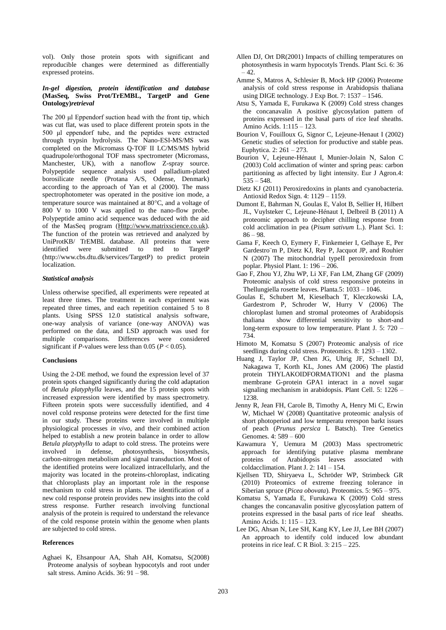vol). Only those protein spots with significant and reproducible changes were determined as differentially expressed proteins.

## *In-gel digestion, protein identification and database*  **(MasSeq, Swiss Prot/TrEMBL, TargetP and Gene Ontology)***retrieval*

The 200 μl Eppendorf suction head with the front tip, which was cut flat, was used to place different protein spots in the 500 μl eppendorf tube, and the peptides were extracted through trypsin hydrolysis. The Nano-ESI-MS/MS was completed on the Micromass Q-TOF II LC/MS/MS hybrid quadrupole/orthogonal TOF mass spectrometer (Micromass, Manchester, UK), with a nanoflow Z-spray source. Polypeptide sequence analysis used palladium-plated borosilicate needle (Protana A/S, Odense, Denmark) according to the approach of Yan et al (2000). The mass spectrophotometer was operated in the positive ion mode, a temperature source was maintained at  $80^{\circ}$ C, and a voltage of 800 V to 1000 V was applied to the nano-flow probe. Polypeptide amino acid sequence was deduced with the aid of the MasSeq program [\(Http://www.matrixscience.co.uk\)](http://www.matrixscience.co.uk/). The function of the protein was retrieved and analyzed by UniProtKB/ TrEMBL database. All proteins that were identified were submitted to tted to TargetP (http://www.cbs.dtu.dk/services/TargetP) to predict protein localization.

## *Statistical analysis*

Unless otherwise specified, all experiments were repeated at least three times. The treatment in each experiment was repeated three times, and each repetition contained 5 to 8 plants. Using SPSS 12.0 statistical analysis software, one-way analysis of variance (one-way ANOVA) was performed on the data, and LSD approach was used for multiple comparisons. Differences were considered significant if *P*-values were less than 0.05 ( $P < 0.05$ ).

#### **Conclusions**

Using the 2-DE method, we found the expression level of 37 protein spots changed significantly during the cold adaptation of *Betula platyphylla* leaves, and the 15 protein spots with increased expression were identified by mass spectrometry. Fifteen protein spots were successfully identified, and 4 novel cold response proteins were detected for the first time in our study. These proteins were involved in multiple physiological processes *in vivo*, and their combined action helped to establish a new protein balance in order to allow *Betula platyphylla* to adapt to cold stress. The proteins were involved in defense, photosynthesis, biosynthesis, carbon-nitrogen metabolism and signal transduction. Most of the identified proteins were localized intracellularly, and the majority was located in the proteins-chloroplast, indicating that chloroplasts play an important role in the response mechanism to cold stress in plants. The identification of a new cold response protein provides new insights into the cold stress response. Further research involving functional analysis of the protein is required to understand the relevance of the cold response protein within the genome when plants are subjected to cold stress.

#### **References**

Aghaei K, Ehsanpour AA, Shah AH, Komatsu, S(2008) Proteome analysis of soybean hypocotyls and root under salt stress. Amino Acids. 36: 91 – 98.

- Allen DJ, Ort DR(2001) Impacts of chilling temperatures on photosynthesis in warm hypocotyls Trends. Plant Sci. 6: 36  $-42.$
- Amme S, Matros A, Schlesier B, Mock HP (2006) Proteome analysis of cold stress response in Arabidopsis thaliana using DIGE technology. J Exp Bot. 7: 1537 – 1546.
- Atsu S, Yamada E, Furukawa K (2009) Cold stress changes the concanavalin A positive glycosylation pattern of proteins expressed in the basal parts of rice leaf sheaths. Amino Acids. 1:115 – 123.
- Bourion V, Fouilloux G, Signor C, Lejeune-Henaut I (2002) Genetic studies of selection for productive and stable peas. Euphytica. 2: 261 – 273.
- Bourion V, Lejeune-Hénaut I, Munier-Jolain N, Salon C (2003) Cold acclimation of winter and spring peas: carbon partitioning as affected by light intensity. Eur J Agron.4:  $535 - 548.$
- Dietz KJ (2011) Peroxiredoxins in plants and cyanobacteria. Antioxid Redox Sign. 4: 1129 – 1159.
- Dumont E, Bahrman N, Goulas E, Valot B, Sellier H, Hilbert JL, Vuylsteker C, Lejeune-Hénaut I, Delbreil B (2011) A proteomic approach to decipher chilling response from cold acclimation in pea (*Pisum sativum* L.). Plant Sci. 1: 86 – 98.
- Gama F, Keech O, Eymery F, Finkemeier I, Gelhaye E, Per Gardestro¨m P, Dietz KJ, Rey P, Jacquot JP, and Rouhier N (2007) The mitochondrial typeII peroxiredoxin from poplar. Physiol Plant. 1: 196 – 206.
- Gao F, Zhou YJ, Zhu WP, Li XF, Fan LM, Zhang GF (2009) Proteomic analysis of cold stress responsive proteins in Thellungiella rosette leaves. Planta.5: 1033 – 1046.
- Goulas E, Schubert M, Kieselbach T, Kleczkowski LA, Gardestrom P, Schroder W, Hurry V (2006) The chloroplast lumen and stromal proteomes of Arabidopsis thaliana show differential sensitivity to short-and long-term exposure to low temperature. Plant J. 5: 720 – 734.
- Himoto M, Komatsu S (2007) Proteomic analysis of rice seedlings during cold stress. Proteomics. 8: 1293 – 1302.
- Huang J, Taylor JP, Chen JG, Uhrig JF, Schnell DJ, Nakagawa T, Korth KL, Jones AM (2006) The plastid protein THYLAKOIDFORMATION1 and the plasma membrane G-protein GPA1 interact in a novel sugar signaling mechanism in arabidopsis. Plant Cell. 5: 1226 – 1238.
- Jenny R, Jean FH, Carole B, Timothy A, Henry Mi C, Erwin W, Michael W (2008) Quantitative proteomic analysis of short photoperiod and low temperatu rerespon barkt issues of peach (*Prunus persica* L Batsch). Tree Genetics Genomes. 4: 589 – 600
- Kawamura Y, Uemura M (2003) Mass spectrometric approach for identifying putative plasma membrane proteins of Arabidopsis leaves associated with coldacclimation. Plant J. 2: 141 – 154.
- Kjellsen TD, Shiryaeva L, Schröder WP, Strimbeck GR (2010) Proteomics of extreme freezing tolerance in Siberian spruce (*Picea obovata*). Proteomics. 5: 965 – 975.
- Komatsu S, Yamada E, Furukawa K (2009) Cold stress changes the concanavalin positive glycosylation pattern of proteins expressed in the basal parts of rice leaf sheaths. Amino Acids. 1: 115 – 123.
- Lee DG, Ahsan N, Lee SH, Kang KY, Lee JJ, Lee BH (2007) An approach to identify cold induced low abundant proteins in rice leaf. C R Biol. 3: 215 – 225.